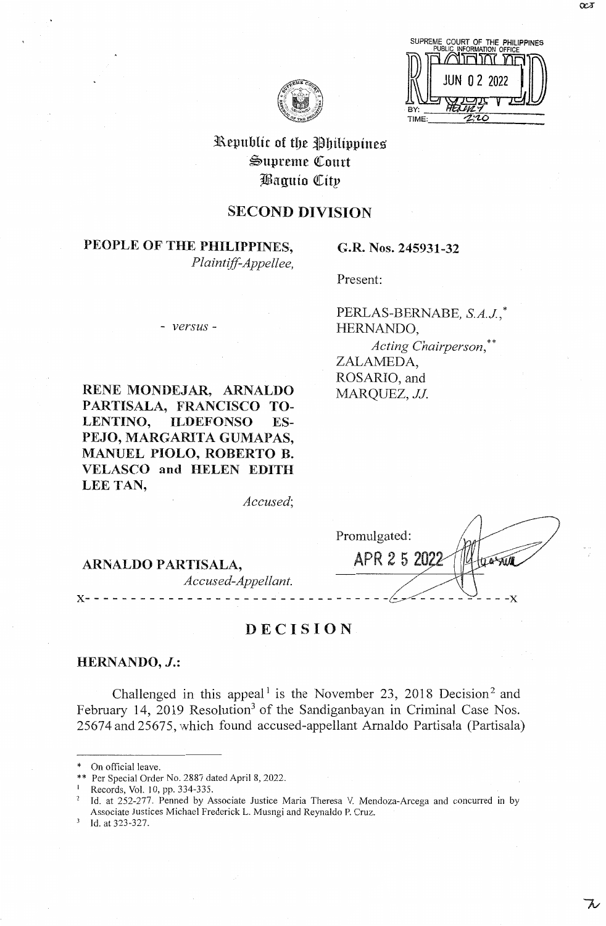$C^{\alpha}$ 



# Republic of the Philippines Supreme Court Baquio City

# SECOND DIVISION

# PEOPLE OF THE PHILIPPINES,

*Plaintiff-Appellee,* 

#### - *versus* -

**RENE MONDEJAR, ARNALDO PARTISALA, FRANCISCO TO-LENTINO, ILDEFONSO ES-PEJO, MARGARITA GUMAPAS, MANUEL PIOLO, ROBERTO B. VELASCO and HELEN EDITH LEE TAN,** 

*Accused;* 

# **ARNALDO PARTISALA,** *Accused-Appellant.*

# **DECISION**

# **HERNANDO, J.:**

Challenged in this appeal<sup>1</sup> is the November 23, 2018 Decision<sup>2</sup> and February 14, 2019 Resolution<sup>3</sup> of the Sandiganbayan in Criminal Case Nos. 25674 and 25675, which found accused-appellant Arnaldo Partisala (Partisala)

Id. at 323-327.

# Present:

**G.R. Nos. 245931-32** 

PERLAS-BERNABE, *S.A.J,* \* HERNANDO, *Acting Chairperson,\*\**  ZALAMEDA, ROSARIO, and MARQUEZ, *JJ.* 

Promulgated: APR 2 5 2022 **x-** - - - - - - - - - - - - - - - - - - - - - - - - - - - - - - - -~~ - - - - - - **-x** 

On official leave.

<sup>\*</sup> Per Special Order No. 2887 dated April 8, 2022.

Records, Vol. 10, pp. 334-335.

Id. at 252-277. Penned by Associate Justice Maria Theresa V. Mendoza-Arcega and concurred in by Associate Justices Michael Frederick L. Musngi and Reynaldo P. Cruz.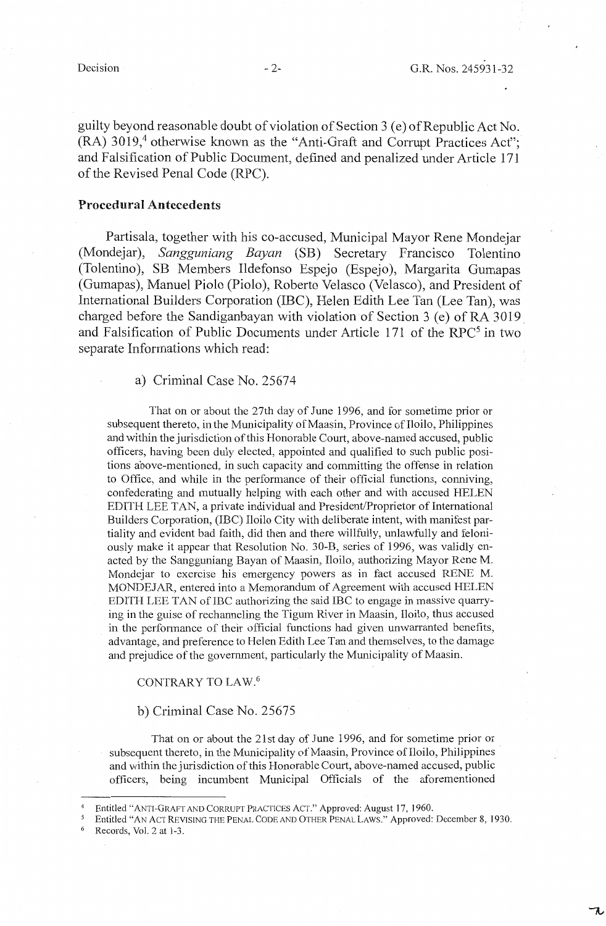guilty beyond reasonable doubt of violation of Section 3 ( e) of Republic Act No.  $(RA)$  3019,<sup>4</sup> otherwise known as the "Anti-Graft and Corrupt Practices Act"; and Falsification of Public Document, defined and penalized under Article 171 of the Revised Penal Code (RPC).

## **Procedural Antecedents**

Partisala, together with his co-accused, Municipal Mayor Rene Mondejar (Mondejar), *Sangguniang Bayan* (SB) Secretary Francisco Tolentino (Tolentino), SB Members Ildefonso Espejo (Espejo), Margarita Gumapas (Gumapas), Manuel Piolo (Piolo), Roberto Velasco (Velasco), and President of International Builders Corporation (IBC), Helen Edith Lee Tan (Lee Tan), was charged before the Sandiganbayan with violation of Section 3 (e) of RA 3019 and Falsification of Public Documents under Article 171 of the RPC<sup>5</sup> in two separate Informations which read:

#### a) Criminal Case No. 25674

That on or about the 27th day of June 1996, and for sometime prior or subsequent thereto, in the Municipality of Maasin, Province of Iloilo, Philippines and within the jurisdiction of this Honorable Court, above-named accused, public officers, having been duly elected, appointed and qualified to such public positions above-mentioned, in such capacity and committing the offense in relation to Office, and while in the performance of their official functions, conniving, confederating and mutually helping with each other and with accused HELEN EDITH LEE TAN, a private individual and President/Proprietor of International Builders Corporation, (IBC) Iloilo City with deliberate intent, with manifest partiality and evident bad faith, did then and there willfully, unlawfully and feloniously make it appear that Resolution No. 30-B, series of 1996, was validly enacted by the Sangguniang Bayan of Maasin, Iloilo, authorizing Mayor Rene M. Mondejar to exercise his emergency powers as in fact accused RENE M. MONDEJAR, entered into a Memorandum of Agreement with accused HELEN EDITH LEE TAN of IBC authorizing the said IBC to engage in massive quarrying in the guise of rechanneling the Tigum River in Maasin, Iloilo, thus accused in the performance of their official functions had given unwarranted benefits, advantage, and preference to Helen Edith Lee Tan and themselves, to the damage and prejudice of the government, particularly the Municipality of Maasin.

#### CONTRARY TO LAW. <sup>6</sup>

#### b) Criminal Case No. 25675

That on or about the 21st day of June 1996, and for sometime prior or subsequent thereto, in the Municipality of Maasin, Province of Iloilo, Philippines and within the jurisdiction of this Honorable Court, above-named accused, public officers, being incumbent Municipal Officials of the aforementioned

<sup>&</sup>lt;sup>4</sup> Entitled "ANTI-GRAFT AND CORRUPT PRACTICES ACT." Approved: August 17, 1960.<br><sup>5</sup> Entitled "AN ACT REVISING THE PENAL CODE AND OTHER PENAL LAWS." Approved: December 8, 1930.<br><sup>6</sup> Records. Vol. 2 at 1-3.

Records, Vol. 2 at 1-3.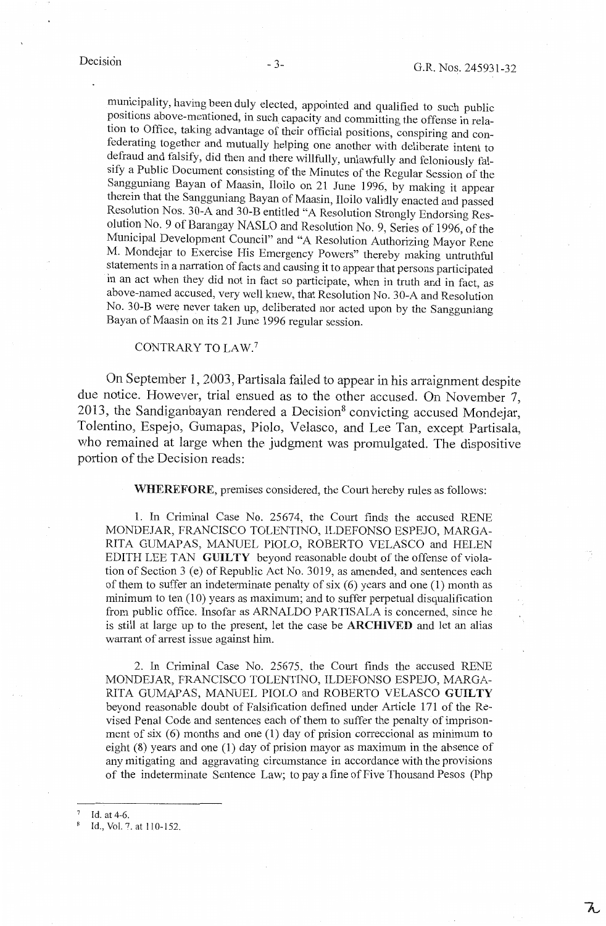municipality, having been duly elected, appointed and qualified to such public positions above-mentioned, in such capacity and committing the offense in relation to Office, taking advantage of their official positions, conspiring and confederating together and mutually helping one another with deliberate intent to defraud and falsify, did then and there willfully, unlawfully and feloniously falsify a Public Document consisting of the Minutes of the Regular Session of the Sangguniang Bayan of Maasin, Iloilo on 21 June 1996, by making it appear therein that the Sangguniang Bayan of Maasin, Iloilo validly enacted and passed Resolution Nos. 30-A and 30-B entitled "A Resolution Strongly Endorsing Resolution No. 9 of Barangay NASLO and Resolution No. 9, Series of 1996, of the Municipal Development Council" and "A Resolution Authorizing Mayor Rene M. Mondejar to Exercise His Emergency Powers" thereby making untruthful statements in a narration of facts and causing it to appear that persons participated in an act when they did not in fact so participate, when in truth and in fact, as above-named accused, very well knew, that Resolution No. 30-A and Resolution No. 30-B were never taken up, deliberated nor acted upon by the Sangguniang Bayan of Maasin on its 21 June 1996 regular session.

# CONTRARY TO LAW.<sup>7</sup>

On September 1, 2003, Partisala failed to appear in his arraignment despite due notice. However, trial ensued as to the other accused. On November 7, 2013, the Sandiganbayan rendered a Decision<sup>8</sup> convicting accused Mondejar Tolentino, Espejo, Gumapas, Piolo, Velasco, and Lee Tan, except Partisala, who remained at large when the judgment was promulgated. The dispositive portion of the Decision reads:

**WHEREFORE,** premises considered, the Court hereby rules as follows:

1. In Criminal Case No. 25674, the Court finds the accused RENE MONDEJAR, FRANCISCO TOLENTINO, ILDEFONSO ESPEJO, MARGA-RITA GUMAPAS, MANUEL PIOLO, ROBERTO VELASCO and HELEN EDITH LEE TAN **GUILTY** beyond reasonable doubt of the offense of violation of Section 3 (e) of Republic Act No. 3019, as amended, and sentences each of them to suffer an indeterminate penalty of six (6) years and one (1) month as minimum to ten (10) years as maximum; and to suffer perpetual disqualification from public office. Insofar as ARNALDO PARTISALA is concerned, since he is still at large up to the present, let the case be **ARCHIVED** and let an alias warrant of arrest issue against him.

2. In Criminal Case No. 25675, the Court finds the accused RENE MONDEJAR, FRANCISCO TOLENTINO, ILDEFONSO ESPEJO, MARGA-RITA GUMAPAS, MANUEL PIOLO and ROBERTO VELASCO **GUILTY**  beyond reasonable doubt of Falsification defined under Article 171 of the Revised Penal Code and sentences each of them to suffer the penalty of imprisonment of six  $(6)$  months and one  $(1)$  day of prision correccional as minimum to eight (8) years and one (1) day of prision mayor as maximum in the absence of any mitigating and aggravating circumstance in accordance with the provisions of the indeterminate Sentence Law; to pay a fine of Five Thousand Pesos (Php

Id. at 4-6.

 $\overline{\lambda}$ 

<sup>8</sup> Id., Vol. 7. at 110-152.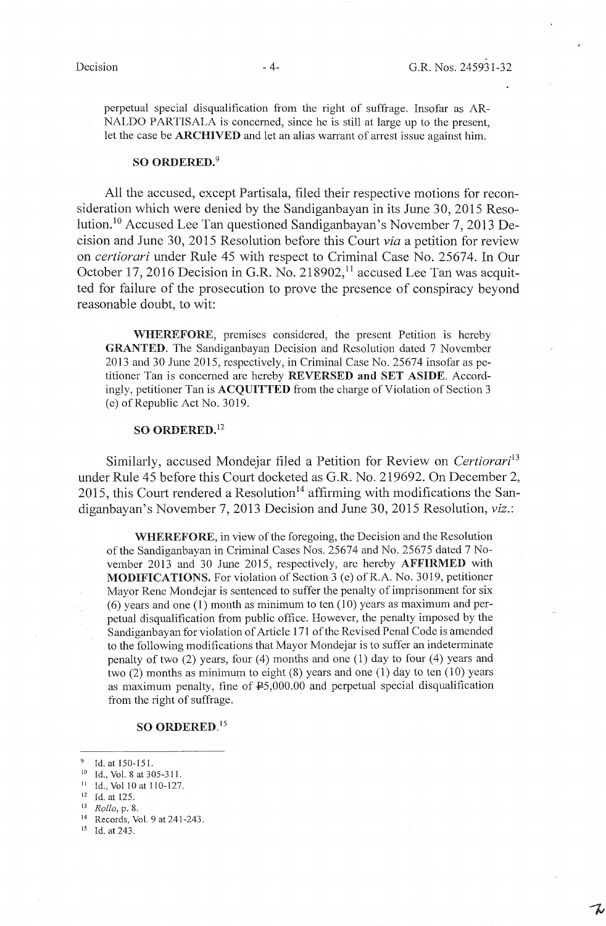perpetual special disqualification from the right of suffrage. Insofar as AR-NALDO PARTISALA is concerned, since he is still at large up to the present, let the case be **ARCHIVED** and let an alias warrant of arrest issue against him.

#### **SO ORDERED.<sup>9</sup>**

All the accused, except Partisala, filed their respective motions for reconsideration which were denied by the Sandiganbayan in its June 30, 2015 Resolution.10 Accused Lee Tan questioned Sandiganbayan's November 7, 2013 Decision and June 30, 2015 Resolution before this Court *via* a petition for review on *certiorari* under Rule 45 with respect to Criminal Case No. 25674. In Our October 17, 2016 Decision in G.R. No. 218902,<sup>11</sup> accused Lee Tan was acquitted for failure of the prosecution to prove the presence of conspiracy beyond reasonable doubt, to wit:

**WHEREFORE,** premises considered, the present Petition is hereby **GRANTED.** The Sandiganbayan Decision and Resolution dated 7 November 2013 and 30 June 2015, respectively, in Criminal Case No. 25674 insofar as petitioner Tan is concerned are hereby **REVERSED and SET ASIDE.** Accordingly, petitioner Tan is **ACQUITTED** from the charge of Violation of Section 3 (e) of Republic Act No. 3019.

## **SO ORDERED. <sup>12</sup>**

Similarly, accused Mondejar filed a Petition for Review on *Certiorari*<sup>13</sup> under Rule 45 before this Court docketed as G.R. No. 219692. On December 2, 2015, this Court rendered a Resolution<sup>14</sup> affirming with modifications the Sandiganbayan's November 7, 2013 Decision and June 30, 2015 Resolution, *viz.:* 

**WHEREFORE,** in view of the foregoing, the Decision and the Resolution of the Sandiganbayan in Criminal Cases Nos. 25674 and No. 25675 dated 7 November 2013 and 30 June 2015, respectively, are hereby **AFFIRMED** with **MODIFICATIONS.** For violation of Section 3 (e) of R.A. No. 3019, petitioner Mayor Rene Mondejar is sentenced to suffer the penalty of imprisomnent for six  $(6)$  years and one (1) month as minimum to ten (10) years as maximum and perpetual disqualification from public office. However, the penalty imposed by the Sandiganbayan for violation of Article 171 of the Revised Penal Code is amended to the following modifications that Mayor Mondejar is to suffer an indeterminate penalty of two (2) years, four (4) months and one (1) day to four (4) years and two (2) months as minimum to eight (8) years and one (1) day to ten (10) years as maximum penalty, fine of  $E$ 5,000.00 and perpetual special disqualification from the right of suffrage.

#### **SO ORDERED.** <sup>15</sup>

<sup>9</sup> Id. at 150-151.

11 Id., Vol 10 at 110-127.

- 12 Id. at 125.<br>
13 *Rollo*, p. 8.<br>
<sup>14</sup> Records, Vol. 9 at 241-243.<br>
<sup>15</sup> Id. at 243.
- 

Id., Vol. 8 at 305-311.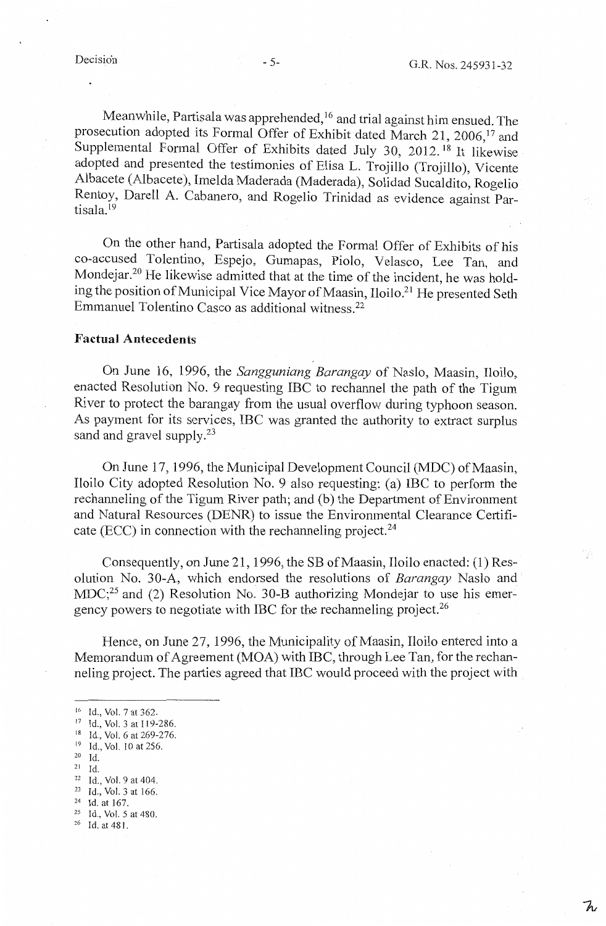Meanwhile, Partisala was apprehended,<sup>16</sup> and trial against him ensued. The prosecution adopted its Formal Offer of Exhibit dated March 21, 2006,<sup>17</sup> and Supplemental Formal Offer of Exhibits dated July 30, 2012.<sup>18</sup> It likewise adopted and presented the testimonies of Elisa L. Trojillo (Trojillo), Vicente Albacete (Albacete ), Imelda Maderada (Maderada), Solidad Sucaldito, Rogelio Rentoy, Darell A. Cabanero, and Rogelio Trinidad as evidence against Partisala.<sup>19</sup>

On the other hand, Partisala adopted the Formal Offer of Exhibits of his co-accused Tolentino, Espejo, Gumapas, Piolo, Velasco, Lee Tan, and Mondejar.20 He likewise admitted that at the time of the incident, he was holding the position of Municipal Vice Mayor of Maasin, Iloilo.<sup>21</sup> He presented Seth Emmanuel Tolentino Casco as additional witness.22

## **Factual Antecedents**

On June 16, 1996, the *Sangguniang Barangay* of Naslo, Maasin, Iloilo, enacted Resolution No. 9 requesting IBC to rechannel the path of the Tigum River to protect the barangay from the usual overflow during typhoon season. As payment for its services, IBC was granted the authority to extract surplus sand and gravel supply.<sup>23</sup>

On June 17, 1996, the Municipal Development Council (MDC) of Maasin, Iloilo City adopted Resolution No. 9 also requesting: (a) IBC to perform the rechanneling of the Tigum River path; and (b) the Department of Enviromnent and Natural Resources (DENR) to issue the Environmental Clearance Certificate (ECC) in connection with the rechanneling project.<sup>24</sup>

Consequently, on June 21, 1996, the SB of Maasin, Iloilo enacted: (1) Resolution No. 30-A, which endorsed the resolutions of *Barangay* Naslo and  $MDC<sub>1</sub><sup>25</sup>$  and (2) Resolution No. 30-B authorizing Mondejar to use his emergency powers to negotiate with IBC for the rechanneling project.<sup>26</sup>

Hence, on June 27, 1996, the Municipality of Maasin, Iloilo entered into a Memorandum of Agreement (MOA) with IBC, through Lee Tan, for the rechanneling project. The parties agreed that IBC would proceed with the project with

<sup>16</sup> Id., Vol. 7 at 362.

<sup>17</sup> Id., Vol. 3 at 119-286.

<sup>18</sup> Id., Vol. 6 at 269-276. <sup>19</sup> Id., Vol. 10 at 256.

 $\frac{20}{21}$  Id.

<sup>22</sup> Id., Vol. 9 at 404.<br>
<sup>23</sup> Id., Vol. 3 at 166.<br>
<sup>24</sup> Id. at 167.<br>
<sup>25</sup> Id., Vol. 5 at 480.<br>
<sup>26</sup> Id. at 481.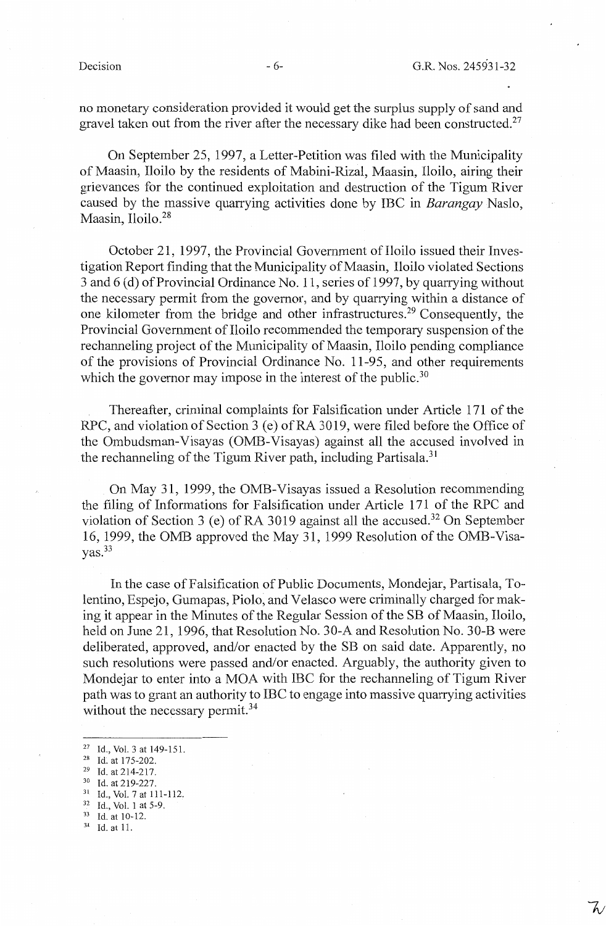no monetary consideration provided it would get the surplus supply of sand and gravel taken out from the river after the necessary dike had been constructed.<sup>27</sup>

On September 25, 1997, a Letter-Petition was filed with the Municipality of Maasin, Iloilo by the residents of Mabini-Rizal, Maasin, Iloilo, airing their grievances for the continued exploitation and destruction of the Tigum River caused by the massive quarrying activities done by IBC in *Barangay* Naslo, Maasin, Iloilo.<sup>28</sup>

October 21, 1997, the Provincial Government of Iloilo issued their Investigation Report finding that the Municipality of Maasin, Iloilo violated Sections 3 and 6 (d) of Provincial Ordinance No. 11, series of 1997, by quarrying without the necessary permit from the governor, and by quarrying within a distance of one kilometer from the bridge and other infrastructures. 29 Consequently, the Provincial Government of Iloilo recommended the temporary suspension of the rechanneling project of the Municipality of Maasin, Iloilo pending compliance of the provisions of Provincial Ordinance No. 11-95, and other requirements which the governor may impose in the interest of the public.<sup>30</sup>

Thereafter, criminal complaints for Falsification under Article 171 of the RPC, and violation of Section 3 (e) of RA 3019, were filed before the Office of the Ombudsman-Visayas (OMB-Visayas) against all the accused involved in the rechanneling of the Tigum River path, including Partisala.<sup>31</sup>

On May 31, 1999, the OMB-Visayas issued a Resolution recommending the filing of Informations for Falsification under Article **171** of the RPC and violation of Section 3 (e) of RA 3019 against all the accused.<sup>32</sup> On September 16, 1999, the 0MB approved the May 31, 1999 Resolution of the OMB-Visa- $\text{vas.}^{33}$ 

In the case of Falsification of Public Documents, Mondejar, Partisala, Tolentino, Espejo, Gumapas, Piolo, and Velasco were criminally charged for making it appear in the Minutes of the Regular Session of the SB of Maasin, Iloilo, held on June 21, 1996, that Resolution No. 30-A and Resolution No. 30-B were deliberated, approved, and/or enacted by the SB on said date. Apparently, no such resolutions were passed and/or enacted. Arguably, the authority given to Mondejar to enter into a MOA with IBC for the rechanneling of Tigum River path was to grant an authority to IBC to engage into massive quarrying activities without the necessary permit.<sup>34</sup>

- 
- 

<sup>27</sup> Id., Vol. 3 at 149-151.<br>
<sup>28</sup> Id. at 175-202.<br>
<sup>29</sup> Id. at 214-217.<br>
<sup>30</sup> Id. at 219-227.<br>
<sup>31</sup> Id., Vol. 7 at 111-112.

 $32 \text{ Id., Vol. 1 at } 5-9.$ <br> $33 \text{ Id. at } 10-12.$ <br> $34 \text{ Id. at } 11.$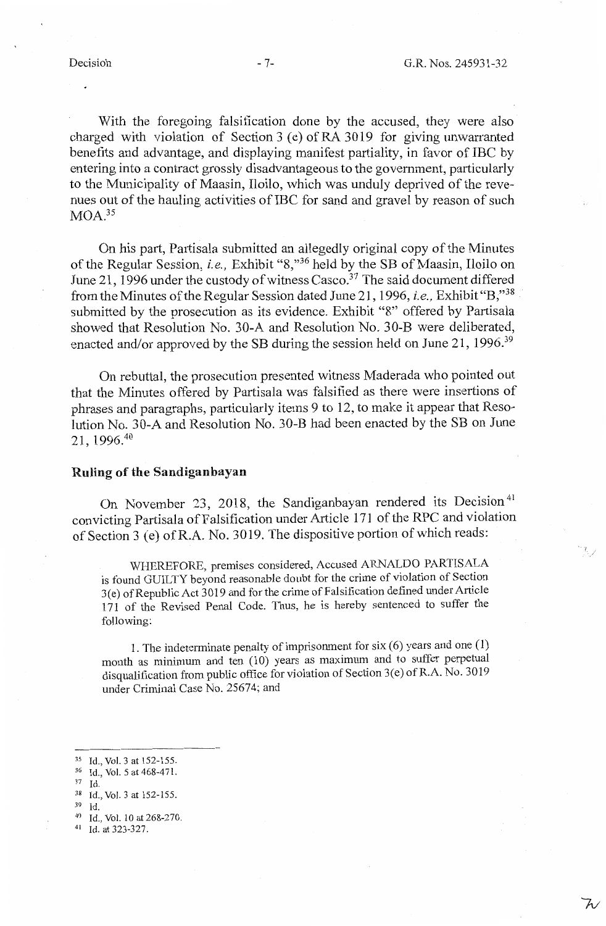With the foregoing falsification done by the accused, they were also charged with violation of Section 3 (e) of RA 3019 for giving unwarranted benefits and advantage, and displaying manifest partiality, in favor of IBC by entering into a contract grossly disadvantageous to the government, particularly to the Municipality of Maasin, Iloilo, which was unduly deprived of the revenues out of the hauling activities of IBC for sand and gravel by reason of such  $MOA.<sup>35</sup>$ 

On his part, Partisala submitted an allegedly original copy of the Minutes of the Regular Session, *i.e.*, Exhibit "8,"<sup>36</sup> held by the SB of Maasin, Iloilo on June 21, 1996 under the custody of witness Casco.<sup>37</sup> The said document differed from the Minutes of the Regular Session dated June 21, 1996, *i.e.,* Exhibit "B;"<sup>38</sup> submitted by the prosecution as its evidence. Exhibit "8" offered by Partisala showed that Resolution No. 30-A and Resolution No. 30-B were deliberated, enacted and/or approved by the SB during the session held on June 21, 1996.<sup>39</sup>

On rebuttal, the prosecution presented witness Maderada who pointed out that the Minutes offered by Partisala was falsified as there were insertions of phrases and paragraphs, particularly items 9 to 12, to make it appear that Resolution No. 30-A and Resolution No. 30-B had been enacted by the SB on June 21, 1996.<sup>40</sup>

### **Ruling of the Sandiganbayan**

On November 23, 2018, the Sandiganbayan rendered its Decision<sup>41</sup> convicting Partisala of Falsification under Article 171 of the RPC and violation of Section 3 (e) ofR.A. No. 3019. The dispositive portion of which reads:

WHEREFORE, premises considered, Accused ARNALDO PARTISALA is found GUILTY beyond reasonable doubt for the crime of violation of Section 3(e) of Republic Act 3019 and for the crime of Falsification defined under Article 171 of the Revised Penal Code. Thus, he is hereby sentenced to suffer the following:

1. The indeterminate penalty of imprisonment for six (6) years and one (1) month as minimum and ten (10) years as maximum and to suffer perpetual disqualification from public office for violation of Section 3(e) of R.A. No. 3019 under Criminal Case No. 25674; and

- 
- 37 Id.
- <sup>38</sup> Id., Vol. 3 at 152-155.<br><sup>39</sup> Id.

- 39 Id. 40 Id., Vol. IO at 268-270.
- 41 Id. at 323-327.

プ

<sup>&</sup>lt;sup>35</sup> Id., Vol. 3 at 152-155.<br><sup>36</sup> Id., Vol. 5 at 468-471.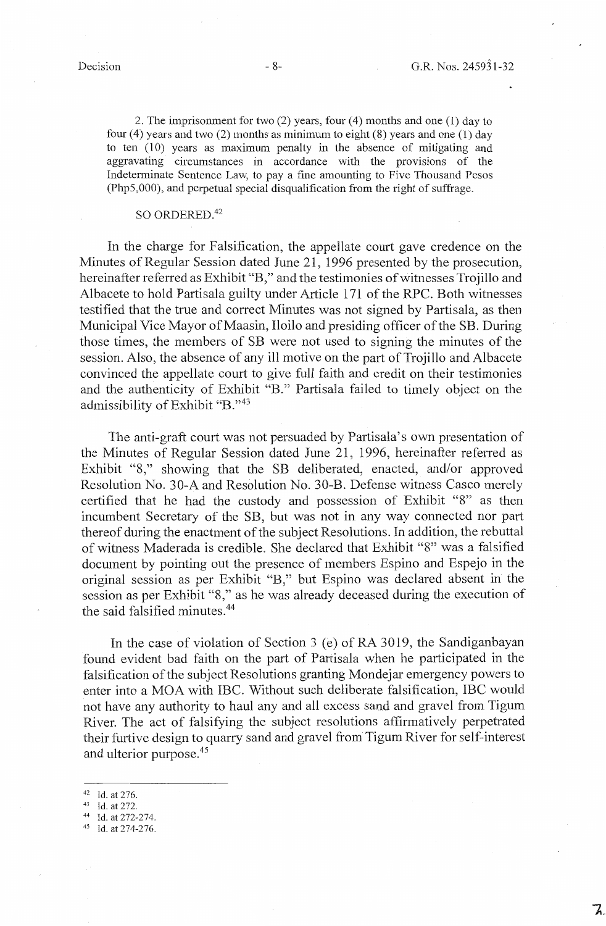2. The imprisonment for two (2) years, four (4) months and one (1) day to four (4) years and two (2) months as minimum to eight  $(8)$  years and one  $(1)$  day to ten (10) years as maximum penalty in the absence of mitigating and aggravating circumstances in accordance with the provisions of the Indeterminate Sentence Law, to pay a fine amounting to Five Thousand Pesos (Php5,000), and perpetual special disqualification from the right of suffrage.

# SO ORDERED.<sup>42</sup>

In the charge for Falsification, the appellate court gave credence on the Minutes of Regular Session dated June 21, 1996 presented by the prosecution, hereinafter referred as Exhibit "B," and the testimonies of witnesses Trojillo and Albacete to hold Partisala guilty under Article 171 of the RPC. Both witnesses testified that the true and correct Minutes was not signed by Partisala, as then Municipal Vice Mayor of Maasin, Iloilo and presiding officer of the SB. During those times, the members of SB were not used to signing the minutes of the session. Also, the absence of any ill motive on the part of Trojillo and Albacete convinced the appellate court to give full faith and credit on their testimonies and the authenticity of Exhibit "B." Partisala failed to timely object on the admissibility of Exhibit "B."43

The anti-graft court was not persuaded by Partisala's own presentation of the Minutes of Regular Session dated June 21, 1996, hereinafter referred as Exhibit "8," showing that the SB deliberated, enacted, and/or approved Resolution No. 30-A and Resolution No. 30-B. Defense witness Casco merely certified that he had the custody and possession of Exhibit "8" as then incumbent Secretary of the SB, but was not in any way connected nor part thereof during the enactment of the subject Resolutions. In addition, the rebuttal of witness Maderada is credible. She declared that Exhibit "8" was a falsified document by pointing out the presence of members Espino and Espejo in the original session as per Exhibit "B," but Espino was declared absent in the session as per Exhibit "8," as he was already deceased during the execution of the said falsified minutes. <sup>44</sup>

In the case of violation of Section 3 (e) of RA 3019, the Sandiganbayan found evident bad faith on the part of Partisala when he participated in the falsification of the subject Resolutions granting Mondejar emergency powers to enter into a MOA with IBC. Without such deliberate falsification, IBC would not have any authority to haul any and all excess sand and gravel from Tigum River. The act of falsifying the subject resolutions affirmatively perpetrated their furtive design to quarry sand and gravel from Tigum River for self-interest and ulterior purpose.<sup>45</sup>

- 
- 
- 42 Id. at 276.<br>
43 Id. at 272-274.<br>
45 Id. at 274-276.
-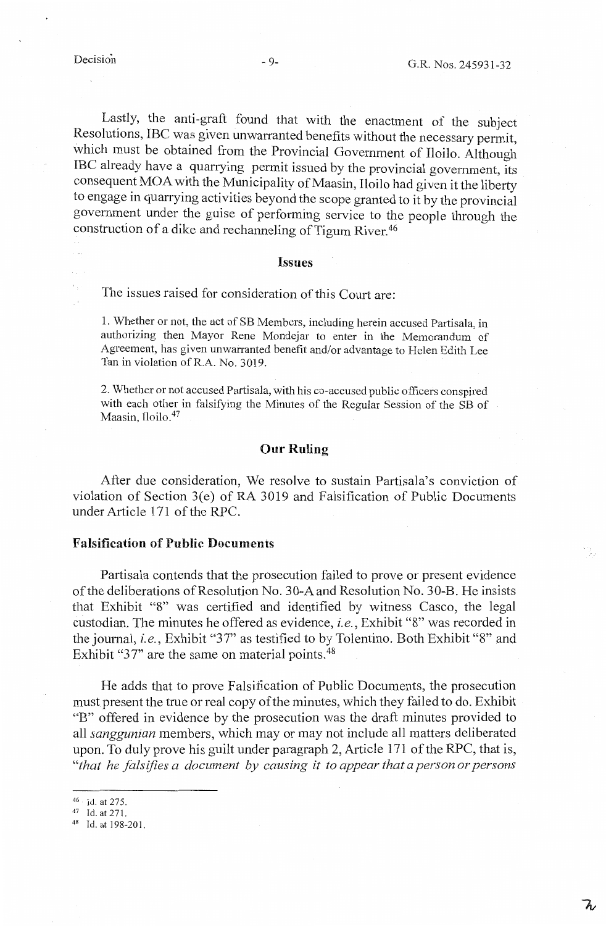Lastly, the anti-graft found that with the enactment of the subject Resolutions, IBC was given unwarranted benefits without the necessary permit, which must be obtained from the Provincial Government of Iloilo. Although IBC already have a quarrying permit issued by the provincial government, its consequent MOA with the Municipality of Maasin, Iloilo had given it the liberty to engage in quarrying activities beyond the scope granted to it by the provincial government under the guise of performing service to the people through the construction of a dike and rechanneling of Tigum River.<sup>46</sup>

## **Issues**

The issues raised for consideration of this Court are:

1. Whether or not, the act of SB Members, including herein accused Partisala, in authorizing then Mayor Rene Mondejar to enter in the Memorandum of Agreement, has given unwarranted benefit and/or advantage to Helen Edith Lee Tan in violation of R.A. No. 3019.

2. Whether or not accused Partisala, with his co-accused public officers conspired with each other in falsifying the Minutes of the Regular Session of the SB of Maasin, Iloilo.<sup>47</sup>

# **Our Ruling**

After due consideration, We resolve to sustain Partisala's conviction of violation of Section 3(e) of RA 3019 and Falsification of Public Documents under Article 171 of the RPC.

# **Falsification of Public Documents**

Partisala contends that the prosecution failed to prove or present evidence of the deliberations of Resolution No. 30-A and Resolution No. 30-B. He insists that Exhibit "8" was certified and identified by witness Casco, the legal custodian. The minutes he offered as evidence, *i.e.,* Exhibit "8" was recorded in the journal, *i.e.*, Exhibit "37" as testified to by Tolentino. Both Exhibit "8" and Exhibit " $37$ " are the same on material points.  $48$ 

He adds that to prove Falsification of Public Documents, the prosecution must present the true or real copy of the minutes, which they failed to do. Exhibit "B" offered in evidence by the prosecution was the draft minutes provided to all *sanggunian* members, which may or may not include all matters deliberated upon. To duly prove his guilt under paragraph 2, Article 171 of the RPC, that is, *"that he falsifies a document by causing it to appear that a person or persons* 

 $^{46}$  Id. at 275.<br>  $^{47}$  Id. at 271.<br>  $^{48}$  Id. at 198-201.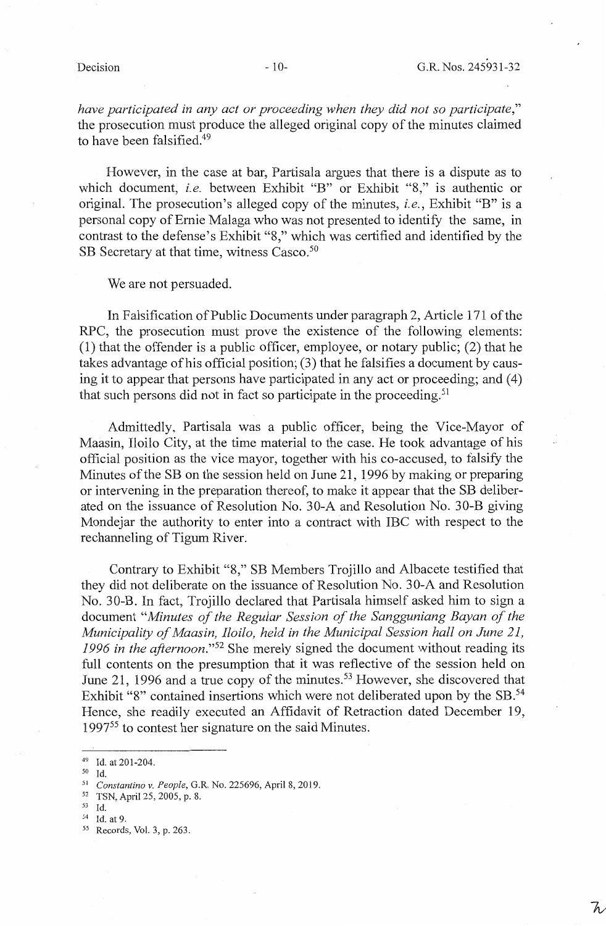*have participated in any act or proceeding when they did not so participate,"*  the prosecution must produce the alleged original copy of the minutes claimed to have been falsified.<sup>49</sup>

However, in the case at bar, Partisala argues that there is a dispute as to which document, *i.e.* between Exhibit "B" or Exhibit "8," is authentic or original. The prosecution's alleged copy of the minutes, *i.e.,* Exhibit "B" is a personal copy of Ernie Malaga who was not presented to identify the same, in contrast to the defense's Exhibit "8," which was certified and identified by the SB Secretary at that time, witness Casco.<sup>50</sup>

We are not persuaded.

In Falsification of Public Documents under paragraph 2, Article 171 of the RPC, the prosecution must prove the existence of the following elements: (1) that the offender is a public officer, employee, or notary public; (2) that he takes advantage of his official position; (3) that he falsifies a document by causing it to appear that persons have participated in any act or proceeding; and (4) that such persons did not in fact so participate in the proceeding.<sup>51</sup>

Admittedly, Partisala was a public officer, being the Vice-Mayor of Maasin, Iloilo City, at the time material to the case. He took advantage of his official position as the vice mayor, together with his co-accused, to falsify the Minutes of the SB on the session held on June 21, 1996 by making or preparing or intervening in the preparation thereof, to make it appear that the SB deliberated on the issuance of Resolution No. 30-A and Resolution No. 30-B giving Mondejar the authority to enter into a contract with IBC with respect to the rechanneling of Tigum River.

Contrary to Exhibit "8," SB Members Trojillo and Albacete testified that they did not deliberate on the issuance of Resolution No. 30-A and Resolution No. 30-B. In fact, Trojillo declared that Partisala himself asked him to sign a document *"Minutes of the Regular Session of the Sangguniang Bayan of the Municipality of Maasin, Iloilo, held in the Municipal Session hall on June 21, 1996 in the afiernoon."52* She merely signed the document without reading its full contents on the presumption that it was reflective of the session held on June 21, 1996 and a true copy of the minutes.<sup>53</sup> However, she discovered that Exhibit "8" contained insertions which were not deliberated upon by the SB.<sup>54</sup> Hence, she readily executed an Affidavit of Retraction dated December 19, 1997<sup>55</sup> to contest her signature on the said Minutes.

50 Id.

<sup>49</sup> Id. at201-204.

<sup>51</sup>*Constantino v. People,* G.R. No. 225696, April 8, 2019. 52 TSN, April 25, 2005, p. 8.

<sup>&</sup>lt;sup>54</sup> Id. at 9.<br><sup>55</sup> Records, Vol. 3, p. 263.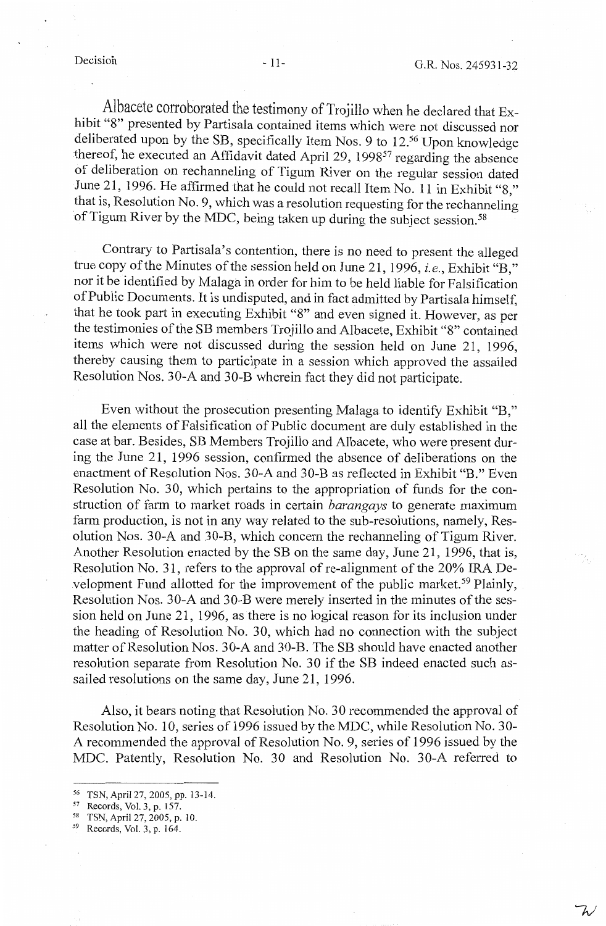Albacete corroborated the testimony of Trojillo when he declared that Exhibit "8" presented by Partisala contained items which were not discussed nor deliberated upon by the SB, specifically Item Nos. 9 to 12.<sup>56</sup> Upon knowledge thereof, he executed an Affidavit dated April 29, 1998<sup>57</sup> regarding the absence of deliberation on rechanneling of Tigum River on the regular session dated June 21, 1996. He affirmed that he could not recall Item No. 11 in Exhibit "8," that is, Resolution No. 9, which was a resolution requesting for the rechanneling of Tigum River by the MDC, being taken up during the subject session.<sup>58</sup>

Contrary to Partisala's contention, there is no need to present the alleged true copy of the Minutes of the session held on June 21, 1996, *i.e.,* Exhibit "B," nor it be identified by Malaga in order for him to be held liable for Falsification of Public Documents. It is undisputed, and in fact admitted by Partisala himself, that he took part in executing Exhibit "8" and even signed it. However, as per the testimonies of the SB members Trojillo and Albacete, Exhibit "8" contained items which were not discussed during the session held on June 21, 1996, thereby causing them to participate in a session which approved the assailed Resolution Nos. 30-A and 30-B wherein fact they did not participate.

Even without the prosecution presenting Malaga to identify Exhibit "B," all the elements of Falsification of Public document are duly established in the case at bar. Besides, SB Members Trojillo and Albacete, who were present during the June 21, 1996 session, confirmed the absence of deliberations on the enactment of Resolution Nos. 30-A and 30-B as reflected in Exhibit "B." Even Resolution No. 30, which pertains to the appropriation of funds for the construction of fann to market roads in certain *barangays* to generate maximum farm production, is not in any way related to the sub-resolutions, namely, Resolution Nos. 30-A and 30-B, which concern the rechanneling of Tigum River. Another Resolution enacted by the SB on the same day, June 21, 1996, that is, Resolution No. 31, refers to the approval of re-alignment of the 20% IRA Development Fund allotted for the improvement of the public market.<sup>59</sup> Plainly, Resolution Nos. 30-A and 30-B were merely inserted in the minutes of the session held on June 21, 1996, as there is no logical reason for its inclusion under the heading of Resolution No. 30, which had no connection with the subject matter of Resolution Nos. 30-A and 30-B. The SB should have enacted another resolution separate from Resolution No. 30 if the SB indeed enacted such assailed resolutions on the same day, June 21, 1996.

Also, it bears noting that Resolution No. 30 recommended the approval of Resolution No. 10, series of 1996 issued by the MDC, while Resolution No. 30- A recommended the approval of Resolution No. 9, series of 1996 issued by the MDC. Patently, Resolution No. 30 and Resolution No. 30-A referred to

ス

<sup>&</sup>lt;sup>56</sup> TSN, April 27, 2005, pp. 13-14.<br><sup>57</sup> Records, Vol. 3, p. 157.<br><sup>58</sup> TSN, April 27, 2005, p. 10.

*<sup>59</sup>* Records, Vol. 3, p. 164.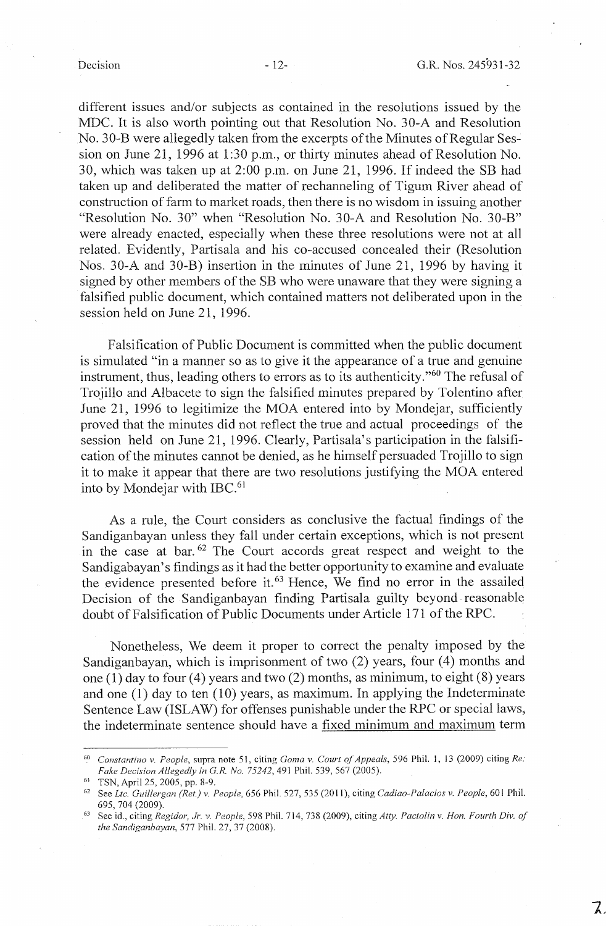different issues and/or subjects as contained in the resolutions issued by the MDC. It is also worth pointing out that Resolution No. 30-A and Resolution No. 30-B were allegedly taken from the excerpts of the Minutes of Regular Session on June 21, 1996 at 1:30 p.m., or thirty minutes ahead of Resolution No. 30, which was taken up at 2:00 p.m. on June 21, 1996. If indeed the SB had taken up and deliberated the matter of rechanneling of Tigum River ahead of construction of fann to market roads, then there is no wisdom in issuing another "Resolution No. 30" when "Resolution No. 30-A and Resolution No. 30-B" were already enacted, especially when these three resolutions were not at all related. Evidently, Partisala and his co-accused concealed their (Resolution Nos. 30-A and 30-B) insertion in the minutes of June 21, 1996 by having it signed by other members of the SB who were unaware that they were signing a falsified public document, which contained matters not deliberated upon in the session held on June 21, 1996.

Falsification of Public Document is committed when the public document is simulated "in a manner so as to give it the appearance of a true and genuine instrument, thus, leading others to errors as to its authenticity."60 The refusal of Trojillo and Albacete to sign the falsified minutes prepared by Tolentino after June 21, 1996 to legitimize the MOA entered into by Mondejar, sufficiently proved that the minutes did not reflect the true and actual proceedings of the session held on June 21, 1996. Clearly, Partisala's participation in the falsification of the minutes cannot be denied, as he himself persuaded Trojillo to sign it to make it appear that there are two resolutions justifying the MOA entered into by Mondejar with IBC. <sup>61</sup>

As a rule, the Court considers as conclusive the factual findings of the Sandiganbayan unless they fall under certain exceptions, which is not present in the case at bar.  $62$  The Court accords great respect and weight to the Sandigabayan's findings as it had the better opportunity to examine and evaluate the evidence presented before it. 63 Hence, We find no error in the assailed Decision of the Sandiganbayan finding Partisala guilty beyond reasonable doubt of Falsification of Public Documents under Article 171 of the RPC.

Nonetheless, We deem it proper to correct the penalty imposed by the Sandiganbayan, which is imprisonment of two (2) years, four (4) months and one (1) day to four (4) years and two (2) months, as minimum, to eight (8) years and one (1) day to ten (10) years, as maximum. In applying the Indeterminate Sentence Law (ISLAW) for offenses punishable under the RPC or special laws, the indeterminate sentence should have a fixed minimum and maximum term

<sup>6°</sup> *Constantino v. People,* supra note 51, citing *Goma v. Court of Appeals,* 596 Phil. 1, 13 (2009) citing *Re: Fake Decision Allegedly in G.R. No. 75242,* 491 Phil. 539, 567 (2005).

<sup>61</sup>TSN, April 25, 2005, pp. 8-9. 62 See *Ltc. Guillergan (Ret.) v. People,* 656 Phil. 527, 535 (2011), citing *Cadiao-Palacios v. People,* 60 I Phil.

<sup>695, 704 (2009). 63</sup> See id., citing *Regidor, Jr. v. People,* 598 Phil. 714, 738 (2009), citing *Atty. Pactolin v. Hon. Fourth Div. of the Sandiganbayan,* 577 Phil. 27, 37 (2008).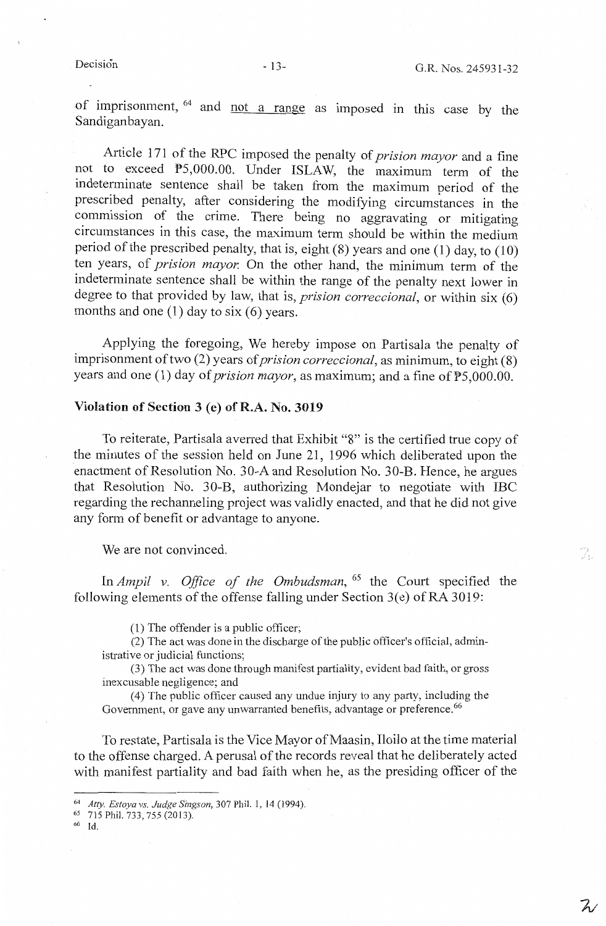of imprisonment, <sup>64</sup> and not a range as imposed in this case by the Sandiganbayan.

Article 171 of the RPC imposed the penalty of *prision mayor* and a fine not to exceed PS,000.00. Under ISLAW, the maximum term of the indeterminate sentence shall be taken from the maximum period of the prescribed penalty, after considering the modifying circumstances in the commission of the crime. There being no aggravating or mitigating circumstances in this case, the maximum term should be within the medium period of the prescribed penalty, that is, eight  $(8)$  years and one  $(1)$  day, to  $(10)$ ten years, of *prision mayor.* On the other hand, the minimum term of the indeterminate sentence shall be within the range of the penalty next lower in degree to that provided by law, that is, *prision correccional,* or within six (6) months and one  $(1)$  day to six  $(6)$  years.

Applying the foregoing, We hereby impose on Partisala the penalty of imprisonment of two (2) years of *prision correccional,* as minimum, to eight (8) years and one (1) day of *prision mayor,* as maximum; and a fine of PS,000.00.

## **Violation of Section 3 (e) of R.A. No. 3019**

To reiterate, Partisala averred that Exhibit "8" is the certified true copy of the minutes of the session held on June 21, 1996 which deliberated upon the enactment of Resolution No. 30-A and Resolution No. 30-B. Hence, he argues that Resolution No. 30-B, authorizing Mondejar to negotiate with IBC regarding the rechanneling project was validly enacted, and that he did not give any form of benefit or advantage to anyone.

We are not convinced.

In *Ampil v. Office of the Ombudsman,* 65 the Court specified the following elements of the offense falling under Section 3(e) of RA 3019:

(1) The offender is a public officer;

(2) The act was done in the discharge of the public officer's official, administrative or judicial functions;

(3) The act was done through manifest partiality, evident bad faith, or gross inexcusable negligence; and

(4) The public officer caused any undue injury to any party, including the Government, or gave any unwarranted benefits, advantage or preference.<sup>66</sup>

To restate, Partisala is the Vice Mayor of Maasin, Iloilo at the time material to the offense charged. A perusal of the records reveal that he deliberately acted with manifest partiality and bad faith when he, as the presiding officer of the

66 Id.

 $Z$ 

7.

<sup>64</sup>*Atty. Estoya vs. Judge Singson,* 307 Phil. I, 14 (1994 ). 65 715 Phil. 733, 755 (2013).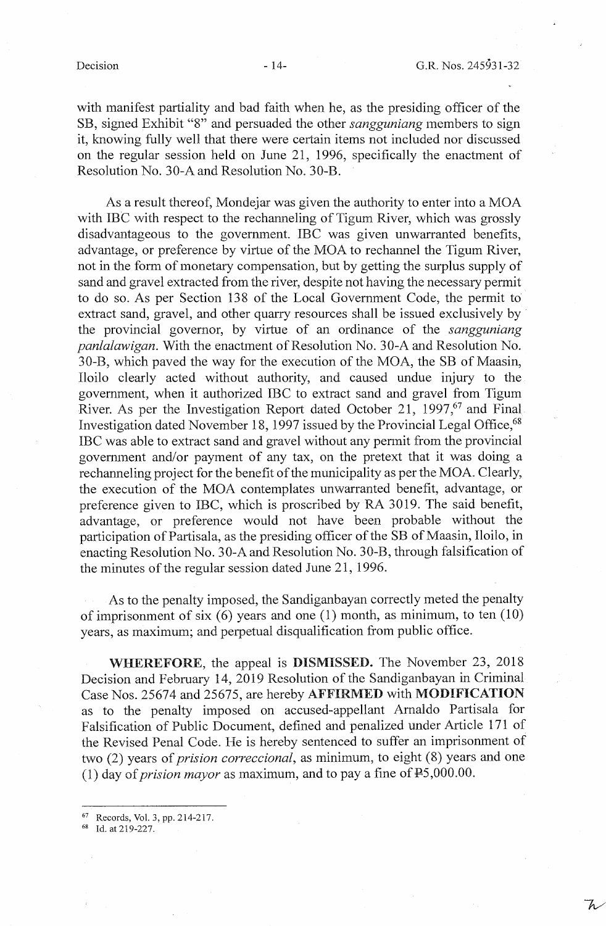with manifest partiality and bad faith when he, as the presiding officer of the SB, signed Exhibit "8" and persuaded the other *sangguniang* members to sign it, knowing fully well that there were certain items not included nor discussed on the regular session held on June 21, 1996, specifically the enactment of Resolution No. 30-A and Resolution No. 30-B.

As a result thereof, Mondejar was given the authority to enter into a MOA with IBC with respect to the rechanneling of Tigum River, which was grossly disadvantageous to the government. IBC was given unwarranted benefits, advantage, or preference by virtue of the MOA to rechannel the Tigum River, not in the form of monetary compensation, but by getting the surplus supply of sand and gravel extracted from the river, despite not having the necessary permit to do so. As per Section 138 of the Local Government Code, the permit to extract sand, gravel, and other quarry resources shall be issued exclusively by the provincial governor, by virtue of an ordinance of the *sangguniang panlalawigan.* With the enactment of Resolution No. 30-A and Resolution No. 30-B, which paved the way for the execution of the MOA, the SB of Maasin, Iloilo clearly acted without authority, and caused undue injury to the govermnent, when it authorized IBC to extract sand and gravel from Tigum River. As per the Investigation Report dated October 21, 1997,<sup>67</sup> and Final Investigation dated November 18, 1997 issued by the Provincial Legal Office, <sup>68</sup> IBC was able to extract sand and gravel without any permit from the provincial government and/or payment of any tax, on the pretext that it was doing a rechanneling project for the benefit of the municipality as per the MOA. Clearly, the execution of the MOA contemplates unwarranted benefit, advantage, or preference given to IBC, which is proscribed by RA 3019. The said benefit, advantage, or preference would not have been probable without the participation of Partisala, as the presiding officer of the SB of Maasin, Iloilo, in enacting Resolution No. 30-A and Resolution No. 30-B, through falsification of the minutes of the regular session dated June 21, 1996.

As to the penalty imposed, the Sandiganbayan correctly meted the penalty of imprisonment of six  $(6)$  years and one  $(1)$  month, as minimum, to ten  $(10)$ years, as maximum; and perpetual disqualification from public office.

**WHEREFORE,** the appeal is **DISMISSED.** The November 23, 2018 Decision and February 14, 2019 Resolution of the Sandiganbayan in Criminal Case Nos. 25674 and 25675, are hereby AFFIRMED with MODIFICATION as to the penalty imposed on accused-appellant Arnaldo Partisala for Falsification of Public Document, defined and penalized under Article 171 of the Revised Penal Code. He is hereby sentenced to suffer an imprisonment of two (2) years of *prision correccional,* as minimum, to eight (8) years and one (1) day of *prision mayor* as maximum, and to pay a fine of P5,000.00.

<sup>67</sup> Records, Vol. 3, pp. 214-217. 68 Id. at 219-227.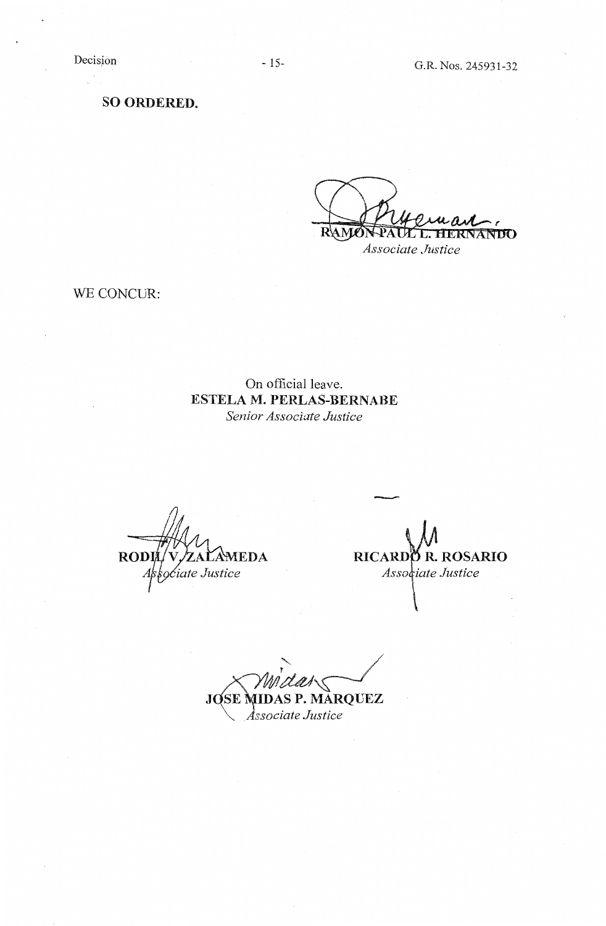**SO ORDERED.** 

R\A M **ANTIO** ┳ *Associate Justice* 

WE CONCUR:

On official leave. **ESTELA M. PERLAS-BERNABE**  *Senior Associate Justice* 

**RODIL** ZALAMEDA rciate Justice

- RICARDO R. ROSARIO Associate Justice

 $J$  OSE MIDAS P. MARQUEZ *ciate Justice*